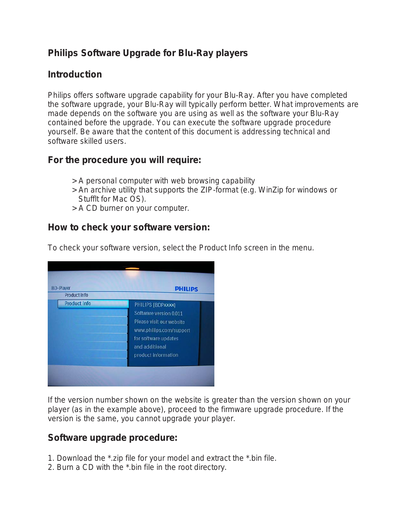# **Philips Software Upgrade for Blu-Ray players**

## **Introduction**

Philips offers software upgrade capability for your Blu-Ray. After you have completed the software upgrade, your Blu-Ray will typically perform better. What improvements are made depends on the software you are using as well as the software your Blu-Ray contained before the upgrade. You can execute the software upgrade procedure yourself. Be aware that the content of this document is addressing technical and software skilled users.

## **For the procedure you will require:**

- > A personal computer with web browsing capability
- > An archive utility that supports the ZIP-format (e.g. WinZip for windows or Stufflt for Mac OS).
- > A CD burner on your computer.

#### **How to check your software version:**

To check your software version, select the Product Info screen in the menu.

| <b>BD-Player</b><br><b>Product Info</b> | <b>PHILIPS</b>                                                                                                                                                      |
|-----------------------------------------|---------------------------------------------------------------------------------------------------------------------------------------------------------------------|
| <b>Product Info</b>                     | PHILIPS [BDPxxxx]<br>Software version 0.011<br>Please visit our website<br>www.philips.com/support<br>for software updates<br>and additional<br>product information |

If the version number shown on the website is greater than the version shown on your player (as in the example above), proceed to the firmware upgrade procedure. If the version is the same, you cannot upgrade your player.

#### **Software upgrade procedure:**

- 1. Download the \*.zip file for your model and extract the \*.bin file.
- 2. Burn a CD with the \*.bin file in the root directory.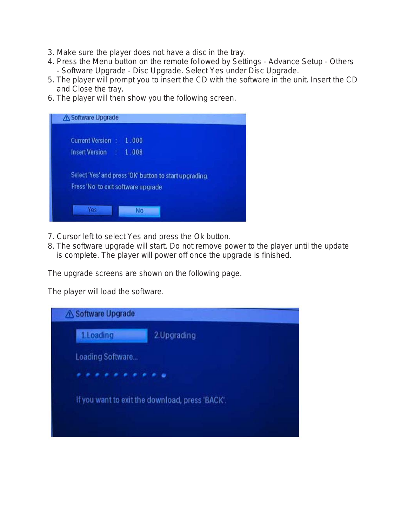- 3. Make sure the player does not have a disc in the tray.
- 4. Press the Menu button on the remote followed by Settings Advance Setup Others - Software Upgrade - Disc Upgrade. Select Yes under Disc Upgrade.
- 5. The player will prompt you to insert the CD with the software in the unit. Insert the CD and Close the tray.
- 6. The player will then show you the following screen.



- 7. Cursor left to select Yes and press the Ok button.
- 8. The software upgrade will start. Do not remove power to the player until the update is complete. The player will power off once the upgrade is finished.

The upgrade screens are shown on the following page.

The player will load the software.

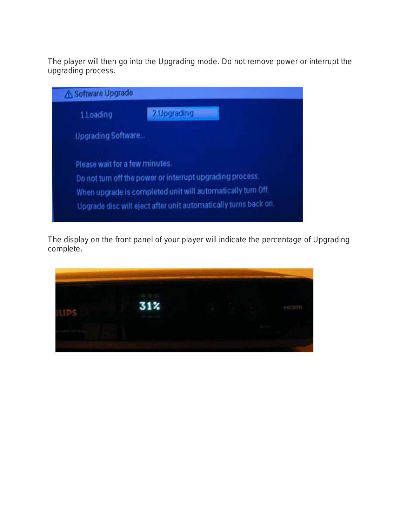The player will then go into the Upgrading mode. Do not remove power or interrupt the upgrading process.

| Software Upgrade               |                                                                 |
|--------------------------------|-----------------------------------------------------------------|
| 1.Loading                      | 2. Upgrading                                                    |
| <b>Upgrading Software</b>      |                                                                 |
| Please wait for a few minutes. |                                                                 |
|                                | Do not turn off the power or interrupt upgrading process.       |
|                                | When upgrade is completed unit will automatically turn Off.     |
|                                | Upgrade disc will eject after unit automatically turns back on. |

The display on the front panel of your player will indicate the percentage of Upgrading complete.